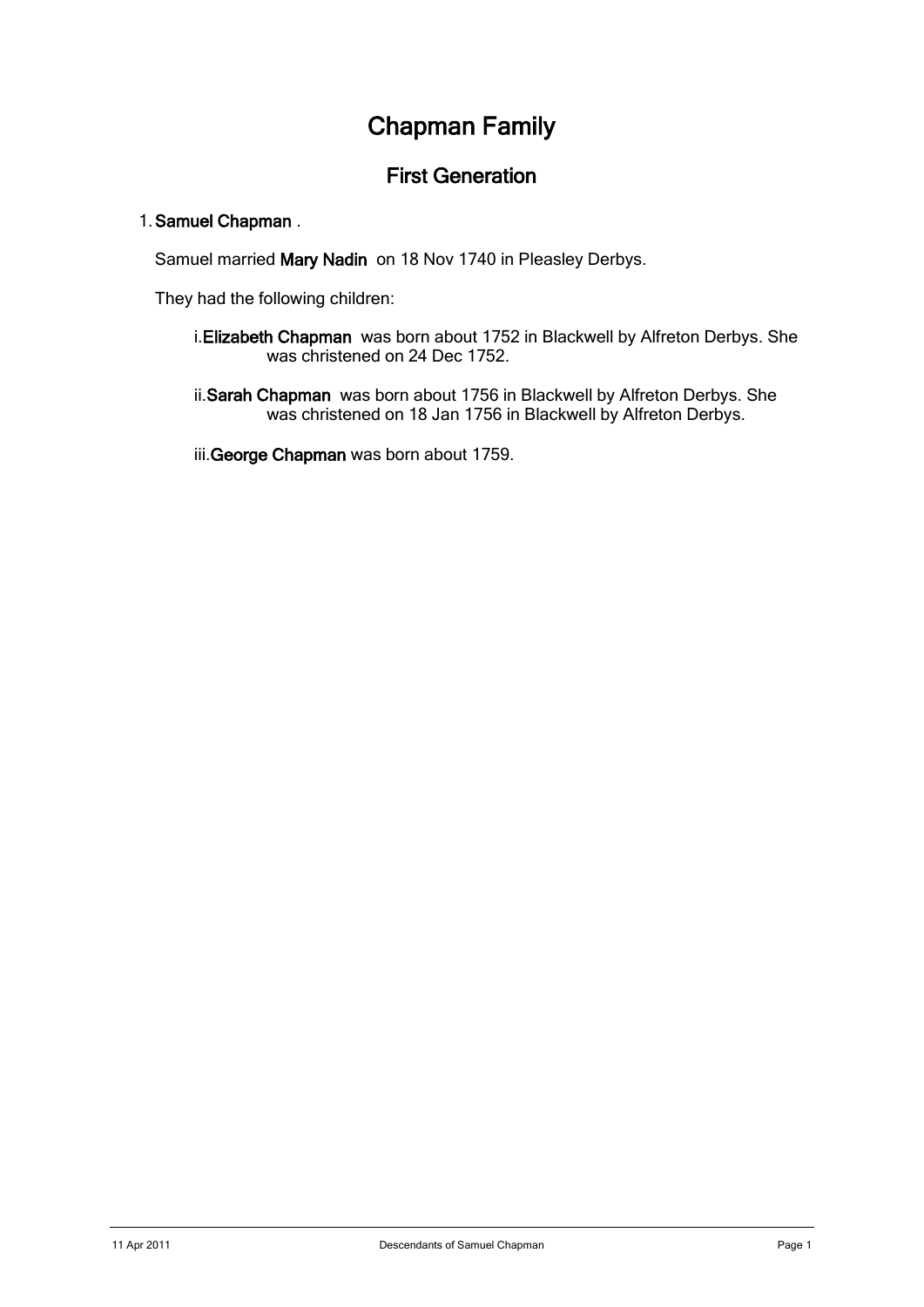# Chapman Family

# First Generation

### 1. Samuel Chapman .

Samuel married Mary Nadin on 18 Nov 1740 in Pleasley Derbys.

They had the following children:

- i.Elizabeth Chapman was born about 1752 in Blackwell by Alfreton Derbys. She was christened on 24 Dec 1752.
- ii.Sarah Chapman was born about 1756 in Blackwell by Alfreton Derbys. She was christened on 18 Jan 1756 in Blackwell by Alfreton Derbys.

iii.George Chapman was born about 1759.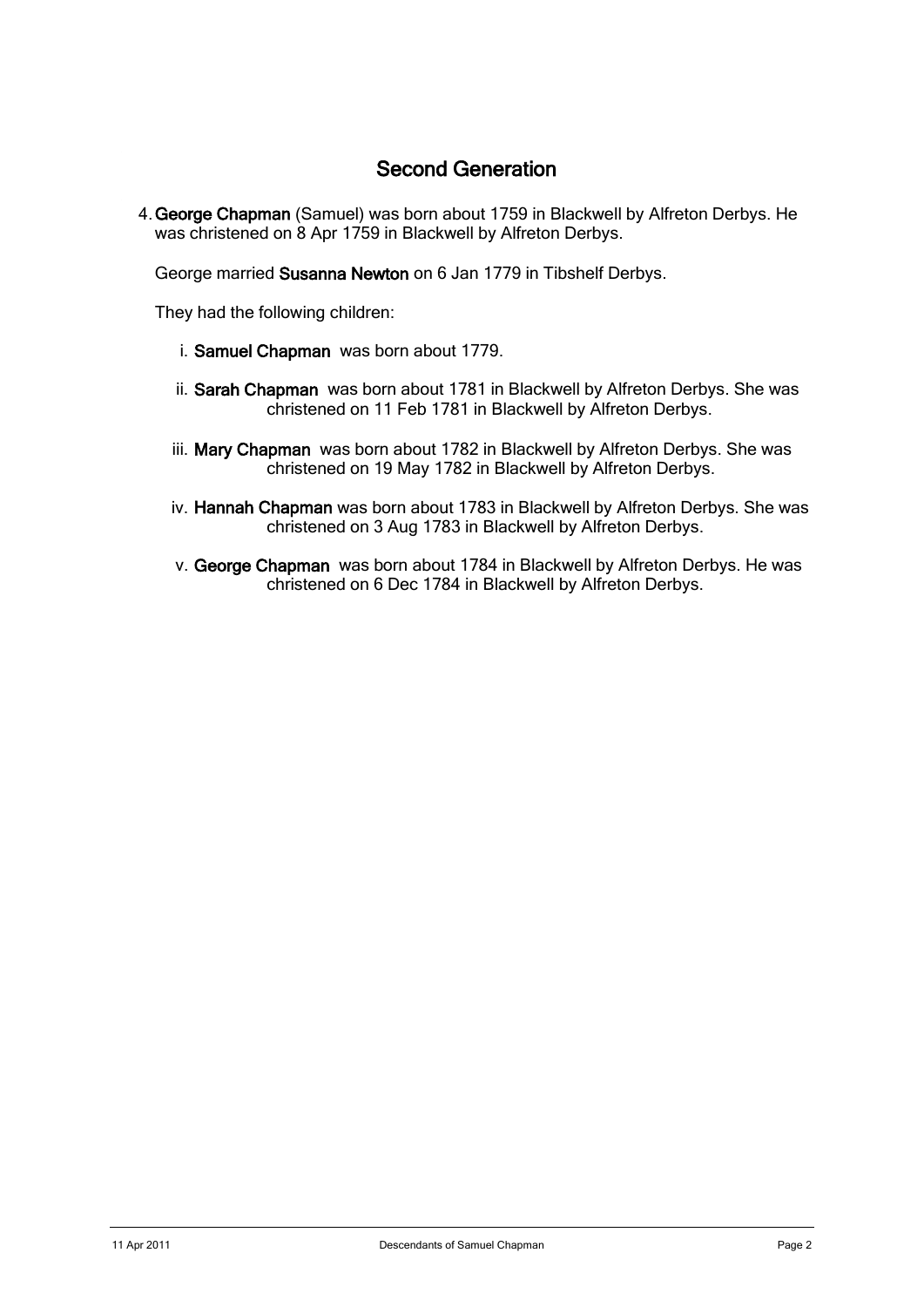# Second Generation

4. George Chapman (Samuel) was born about 1759 in Blackwell by Alfreton Derbys. He was christened on 8 Apr 1759 in Blackwell by Alfreton Derbys.

George married Susanna Newton on 6 Jan 1779 in Tibshelf Derbys.

They had the following children:

- i. Samuel Chapman was born about 1779.
- ii. Sarah Chapman was born about 1781 in Blackwell by Alfreton Derbys. She was christened on 11 Feb 1781 in Blackwell by Alfreton Derbys.
- iii. Mary Chapman was born about 1782 in Blackwell by Alfreton Derbys. She was christened on 19 May 1782 in Blackwell by Alfreton Derbys.
- iv. Hannah Chapman was born about 1783 in Blackwell by Alfreton Derbys. She was christened on 3 Aug 1783 in Blackwell by Alfreton Derbys.
- v. George Chapman was born about 1784 in Blackwell by Alfreton Derbys. He was christened on 6 Dec 1784 in Blackwell by Alfreton Derbys.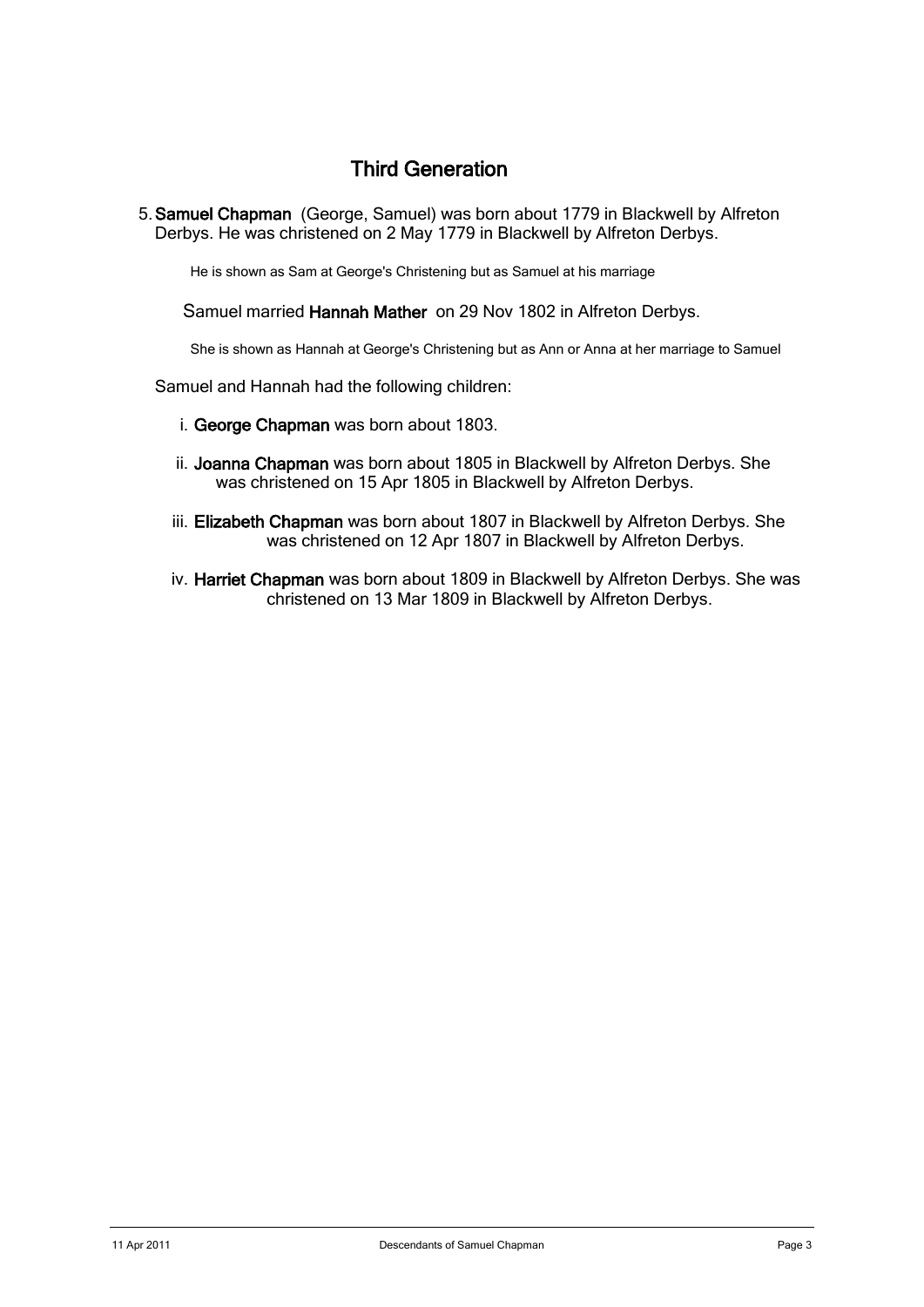# Third Generation

5. Samuel Chapman (George, Samuel) was born about 1779 in Blackwell by Alfreton Derbys. He was christened on 2 May 1779 in Blackwell by Alfreton Derbys.

He is shown as Sam at George's Christening but as Samuel at his marriage

Samuel married Hannah Mather on 29 Nov 1802 in Alfreton Derbys.

She is shown as Hannah at George's Christening but as Ann or Anna at her marriage to Samuel

Samuel and Hannah had the following children:

- i. George Chapman was born about 1803.
- ii. Joanna Chapman was born about 1805 in Blackwell by Alfreton Derbys. She was christened on 15 Apr 1805 in Blackwell by Alfreton Derbys.
- iii. Elizabeth Chapman was born about 1807 in Blackwell by Alfreton Derbys. She was christened on 12 Apr 1807 in Blackwell by Alfreton Derbys.
- iv. Harriet Chapman was born about 1809 in Blackwell by Alfreton Derbys. She was christened on 13 Mar 1809 in Blackwell by Alfreton Derbys.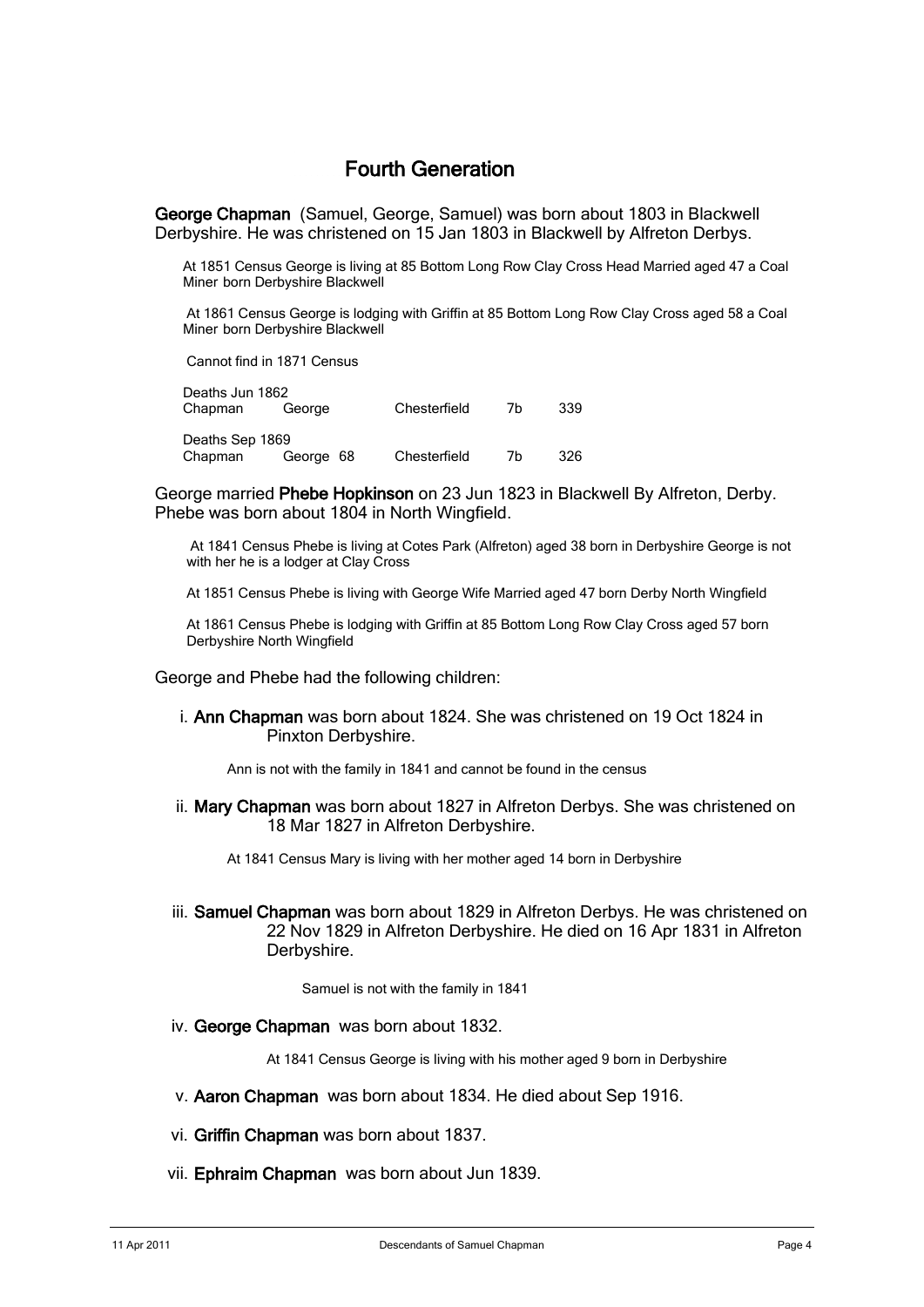# Fourth Generation

 George Chapman (Samuel, George, Samuel) was born about 1803 in Blackwell Derbyshire. He was christened on 15 Jan 1803 in Blackwell by Alfreton Derbys.

At 1851 Census George is living at 85 Bottom Long Row Clay Cross Head Married aged 47 a Coal Miner born Derbyshire Blackwell

At 1861 Census George is lodging with Griffin at 85 Bottom Long Row Clay Cross aged 58 a Coal Miner born Derbyshire Blackwell

Cannot find in 1871 Census

| Deaths Jun 1862 |           |              |    |     |
|-----------------|-----------|--------------|----|-----|
| Chapman         | George    | Chesterfield | 7h | 339 |
|                 |           |              |    |     |
| Deaths Sep 1869 |           |              |    |     |
| Chapman         | George 68 | Chesterfield | 7h | 326 |
|                 |           |              |    |     |

George married Phebe Hopkinson on 23 Jun 1823 in Blackwell By Alfreton, Derby. Phebe was born about 1804 in North Wingfield.

 At 1841 Census Phebe is living at Cotes Park (Alfreton) aged 38 born in Derbyshire George is not with her he is a lodger at Clay Cross

At 1851 Census Phebe is living with George Wife Married aged 47 born Derby North Wingfield

At 1861 Census Phebe is lodging with Griffin at 85 Bottom Long Row Clay Cross aged 57 born Derbyshire North Wingfield

George and Phebe had the following children:

i. Ann Chapman was born about 1824. She was christened on 19 Oct 1824 in Pinxton Derbyshire.

Ann is not with the family in 1841 and cannot be found in the census

ii. Mary Chapman was born about 1827 in Alfreton Derbys. She was christened on 18 Mar 1827 in Alfreton Derbyshire.

At 1841 Census Mary is living with her mother aged 14 born in Derbyshire

iii. Samuel Chapman was born about 1829 in Alfreton Derbys. He was christened on 22 Nov 1829 in Alfreton Derbyshire. He died on 16 Apr 1831 in Alfreton Derbyshire.

Samuel is not with the family in 1841

iv. George Chapman was born about 1832.

At 1841 Census George is living with his mother aged 9 born in Derbyshire

- v. Aaron Chapman was born about 1834. He died about Sep 1916.
- vi. Griffin Chapman was born about 1837.
- vii. Ephraim Chapman was born about Jun 1839.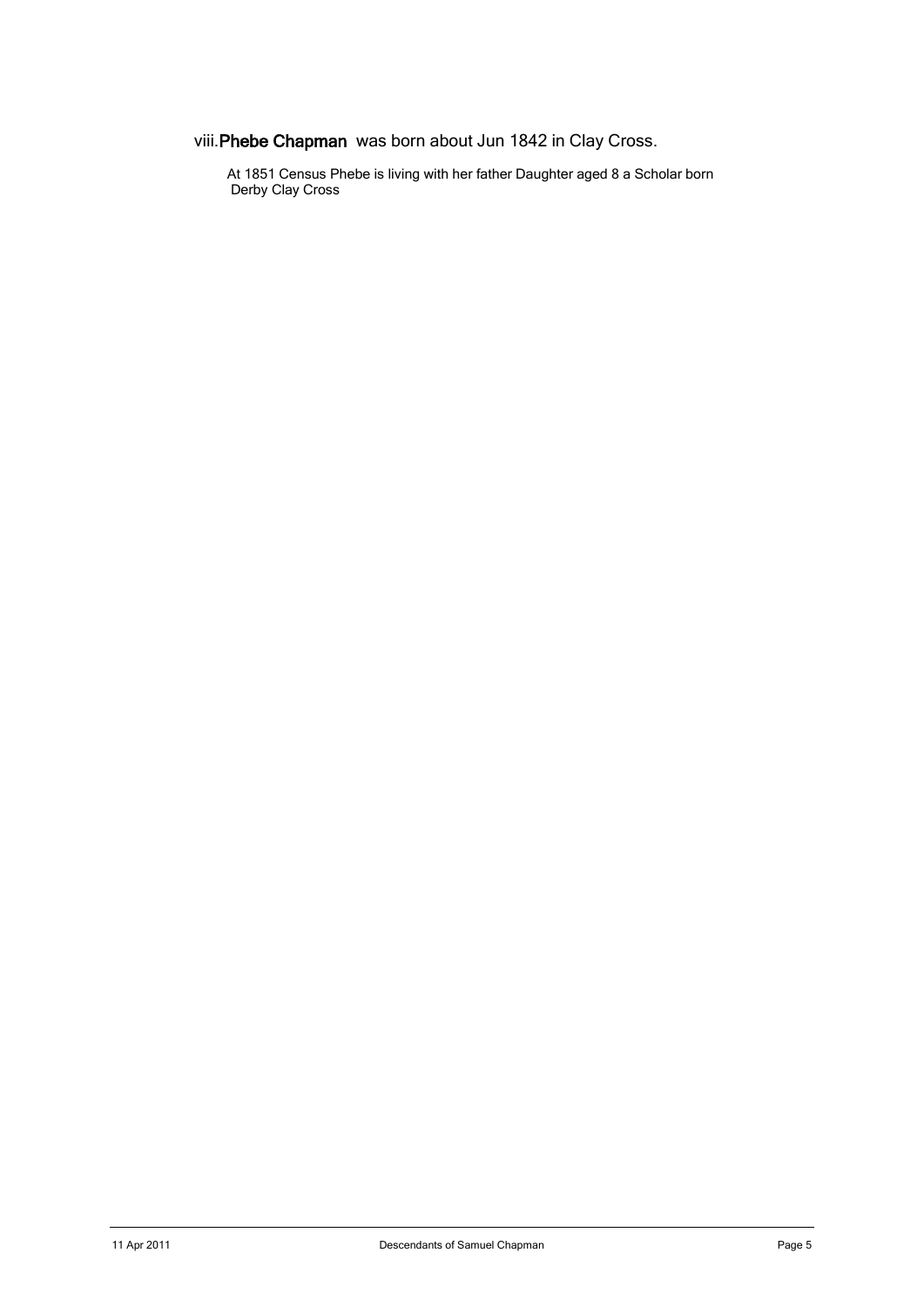viii.Phebe Chapman was born about Jun 1842 in Clay Cross.

At 1851 Census Phebe is living with her father Daughter aged 8 a Scholar born **Derby Clay Cross**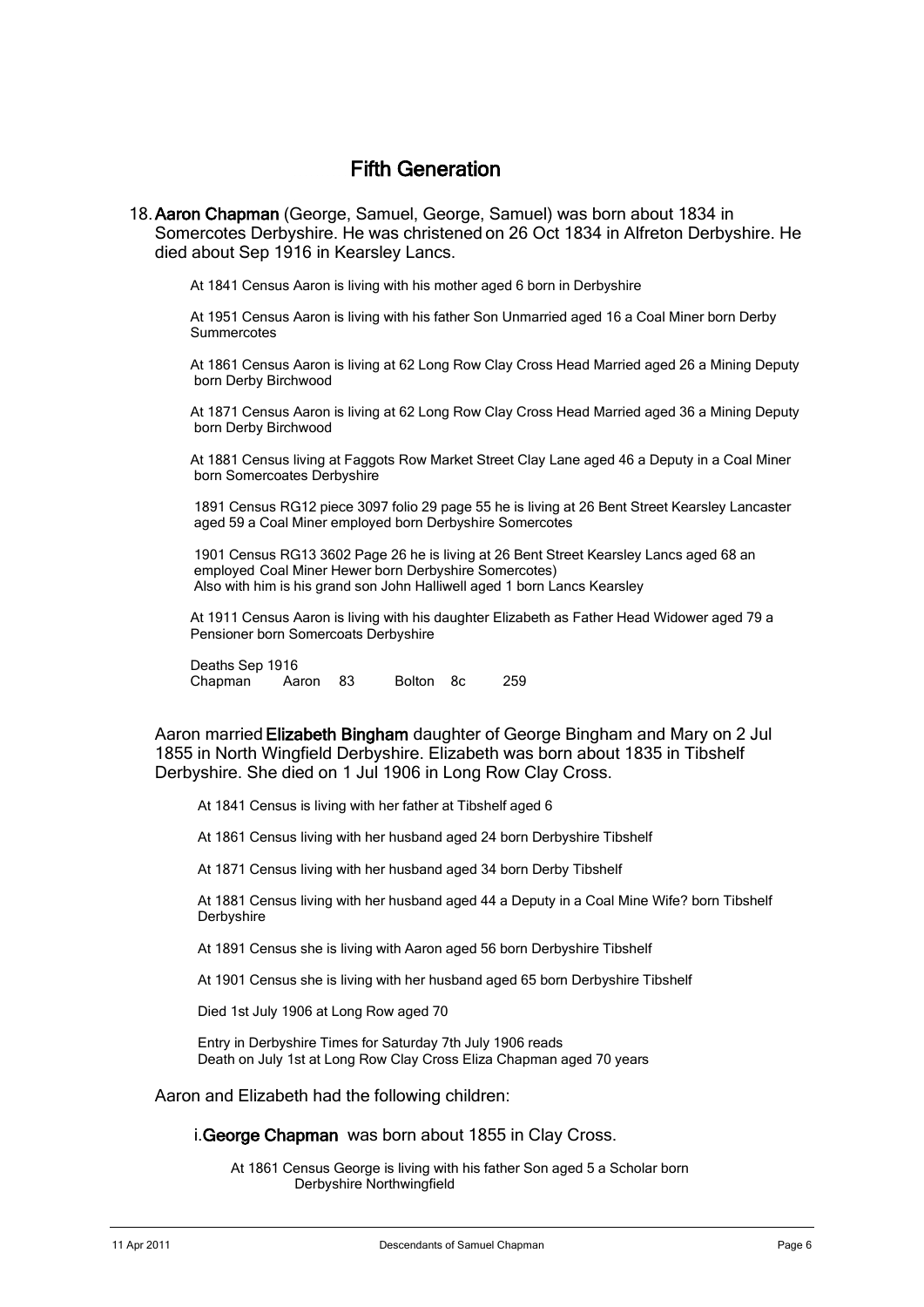# Fifth Generation

18. Aaron Chapman (George, Samuel, George, Samuel) was born about 1834 in Somercotes Derbyshire. He was christened on 26 Oct 1834 in Alfreton Derbyshire. He died about Sep 1916 in Kearsley Lancs.

At 1841 Census Aaron is living with his mother aged 6 born in Derbyshire

 At 1951 Census Aaron is living with his father Son Unmarried aged 16 a Coal Miner born Derby **Summercotes** 

 At 1861 Census Aaron is living at 62 Long Row Clay Cross Head Married aged 26 a Mining Deputy born Derby Birchwood

 At 1871 Census Aaron is living at 62 Long Row Clay Cross Head Married aged 36 a Mining Deputy born Derby Birchwood

 At 1881 Census living at Faggots Row Market Street Clay Lane aged 46 a Deputy in a Coal Miner born Somercoates Derbyshire

 1891 Census RG12 piece 3097 folio 29 page 55 he is living at 26 Bent Street Kearsley Lancaster aged 59 a Coal Miner employed born Derbyshire Somercotes

 1901 Census RG13 3602 Page 26 he is living at 26 Bent Street Kearsley Lancs aged 68 an employed Coal Miner Hewer born Derbyshire Somercotes) Also with him is his grand son John Halliwell aged 1 born Lancs Kearsley

 At 1911 Census Aaron is living with his daughter Elizabeth as Father Head Widower aged 79 a Pensioner born Somercoats Derbyshire

 Deaths Sep 1916 Chapman Aaron 83 Bolton 8c 259

Aaron married Elizabeth Bingham daughter of George Bingham and Mary on 2 Jul 1855 in North Wingfield Derbyshire. Elizabeth was born about 1835 in Tibshelf Derbyshire. She died on 1 Jul 1906 in Long Row Clay Cross.

At 1841 Census is living with her father at Tibshelf aged 6

At 1861 Census living with her husband aged 24 born Derbyshire Tibshelf

At 1871 Census living with her husband aged 34 born Derby Tibshelf

 At 1881 Census living with her husband aged 44 a Deputy in a Coal Mine Wife? born Tibshelf Derbyshire

At 1891 Census she is living with Aaron aged 56 born Derbyshire Tibshelf

At 1901 Census she is living with her husband aged 65 born Derbyshire Tibshelf

Died 1st July 1906 at Long Row aged 70

 Entry in Derbyshire Times for Saturday 7th July 1906 reads Death on July 1st at Long Row Clay Cross Eliza Chapman aged 70 years

Aaron and Elizabeth had the following children:

i.George Chapman was born about 1855 in Clay Cross.

 At 1861 Census George is living with his father Son aged 5 a Scholar born Derbyshire Northwingfield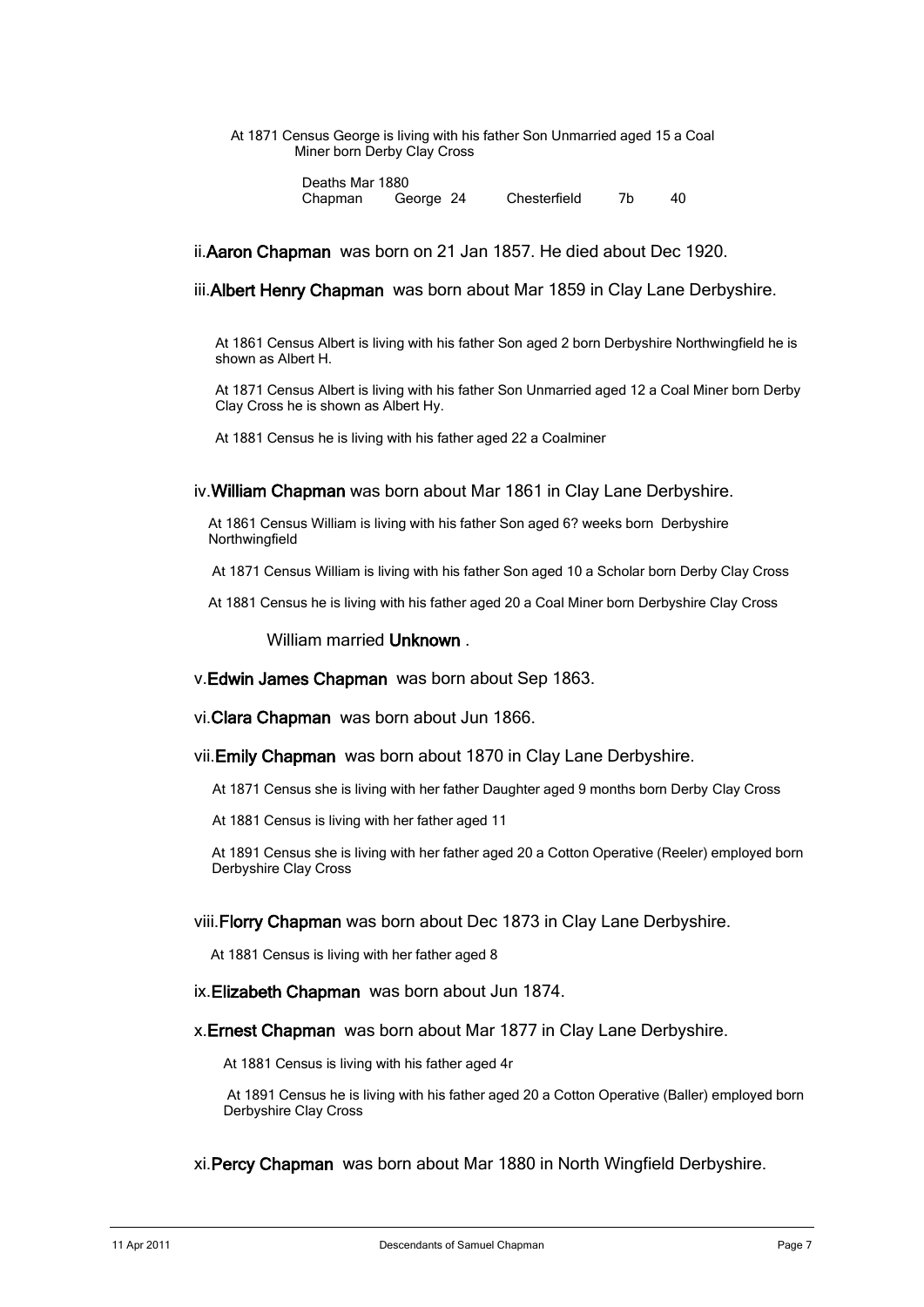#### At 1871 Census George is living with his father Son Unmarried aged 15 a Coal Miner born Derby Clay Cross

Deaths Mar 1880<br>Chapman Ge George 24 Chesterfield 7b 40

ii.Aaron Chapman was born on 21 Jan 1857. He died about Dec 1920.

iii.Albert Henry Chapman was born about Mar 1859 in Clay Lane Derbyshire.

At 1861 Census Albert is living with his father Son aged 2 born Derbyshire Northwingfield he is shown as Albert H.

At 1871 Census Albert is living with his father Son Unmarried aged 12 a Coal Miner born Derby Clay Cross he is shown as Albert Hy.

At 1881 Census he is living with his father aged 22 a Coalminer

iv.William Chapman was born about Mar 1861 in Clay Lane Derbyshire.

At 1861 Census William is living with his father Son aged 6? weeks born Derbyshire Northwingfield

At 1871 Census William is living with his father Son aged 10 a Scholar born Derby Clay Cross

At 1881 Census he is living with his father aged 20 a Coal Miner born Derbyshire Clay Cross

### William married Unknown.

v.Edwin James Chapman was born about Sep 1863.

vi.Clara Chapman was born about Jun 1866.

vii.Emily Chapman was born about 1870 in Clay Lane Derbyshire.

At 1871 Census she is living with her father Daughter aged 9 months born Derby Clay Cross

At 1881 Census is living with her father aged 11

At 1891 Census she is living with her father aged 20 a Cotton Operative (Reeler) employed born Derbyshire Clay Cross

#### viii.Florry Chapman was born about Dec 1873 in Clay Lane Derbyshire.

At 1881 Census is living with her father aged 8

ix.Elizabeth Chapman was born about Jun 1874.

#### x. Ernest Chapman was born about Mar 1877 in Clay Lane Derbyshire.

At 1881 Census is living with his father aged 4r

At 1891 Census he is living with his father aged 20 a Cotton Operative (Baller) employed born Derbyshire Clay Cross

xi.Percy Chapman was born about Mar 1880 in North Wingfield Derbyshire.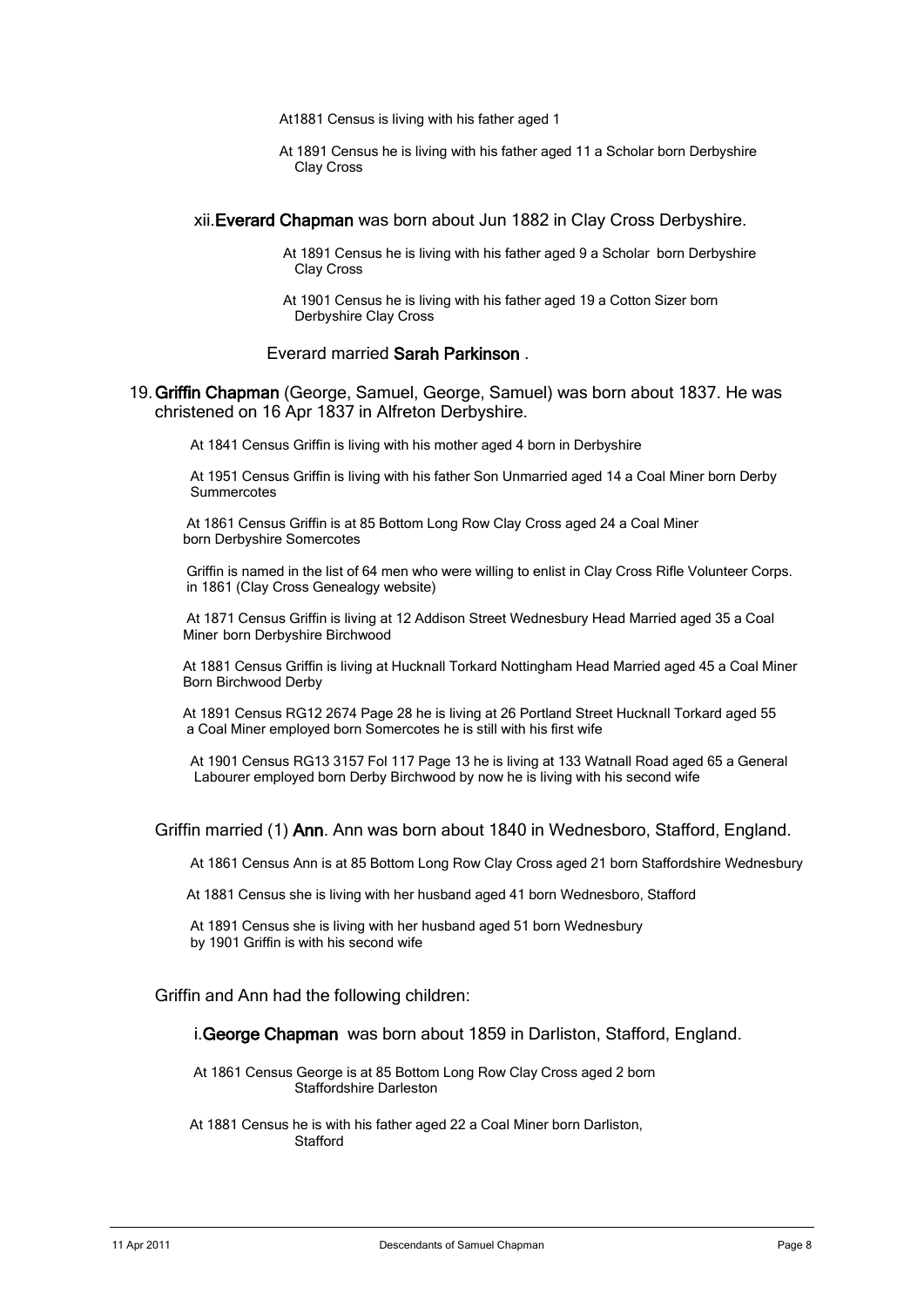At1881 Census is living with his father aged 1

At 1891 Census he is living with his father aged 11 a Scholar born Derbyshire Clay Cross

#### xii.Everard Chapman was born about Jun 1882 in Clay Cross Derbyshire.

At 1891 Census he is living with his father aged 9 a Scholar born Derbyshire Clay Cross

At 1901 Census he is living with his father aged 19 a Cotton Sizer born Derbyshire Clay Cross

#### Everard married Sarah Parkinson .

19. Griffin Chapman (George, Samuel, George, Samuel) was born about 1837. He was christened on 16 Apr 1837 in Alfreton Derbyshire.

At 1841 Census Griffin is living with his mother aged 4 born in Derbyshire

 At 1951 Census Griffin is living with his father Son Unmarried aged 14 a Coal Miner born Derby **Summercotes** 

At 1861 Census Griffin is at 85 Bottom Long Row Clay Cross aged 24 a Coal Miner born Derbyshire Somercotes

Griffin is named in the list of 64 men who were willing to enlist in Clay Cross Rifle Volunteer Corps. in 1861 (Clay Cross Genealogy website)

At 1871 Census Griffin is living at 12 Addison Street Wednesbury Head Married aged 35 a Coal Miner born Derbyshire Birchwood

At 1881 Census Griffin is living at Hucknall Torkard Nottingham Head Married aged 45 a Coal Miner Born Birchwood Derby

At 1891 Census RG12 2674 Page 28 he is living at 26 Portland Street Hucknall Torkard aged 55 a Coal Miner employed born Somercotes he is still with his first wife

 At 1901 Census RG13 3157 Fol 117 Page 13 he is living at 133 Watnall Road aged 65 a General Labourer employed born Derby Birchwood by now he is living with his second wife

#### Griffin married (1) Ann. Ann was born about 1840 in Wednesboro, Stafford, England.

At 1861 Census Ann is at 85 Bottom Long Row Clay Cross aged 21 born Staffordshire Wednesbury

At 1881 Census she is living with her husband aged 41 born Wednesboro, Stafford

 At 1891 Census she is living with her husband aged 51 born Wednesbury by 1901 Griffin is with his second wife

#### Griffin and Ann had the following children:

#### i.George Chapman was born about 1859 in Darliston, Stafford, England.

 At 1861 Census George is at 85 Bottom Long Row Clay Cross aged 2 born Staffordshire Darleston

 At 1881 Census he is with his father aged 22 a Coal Miner born Darliston, **Stafford**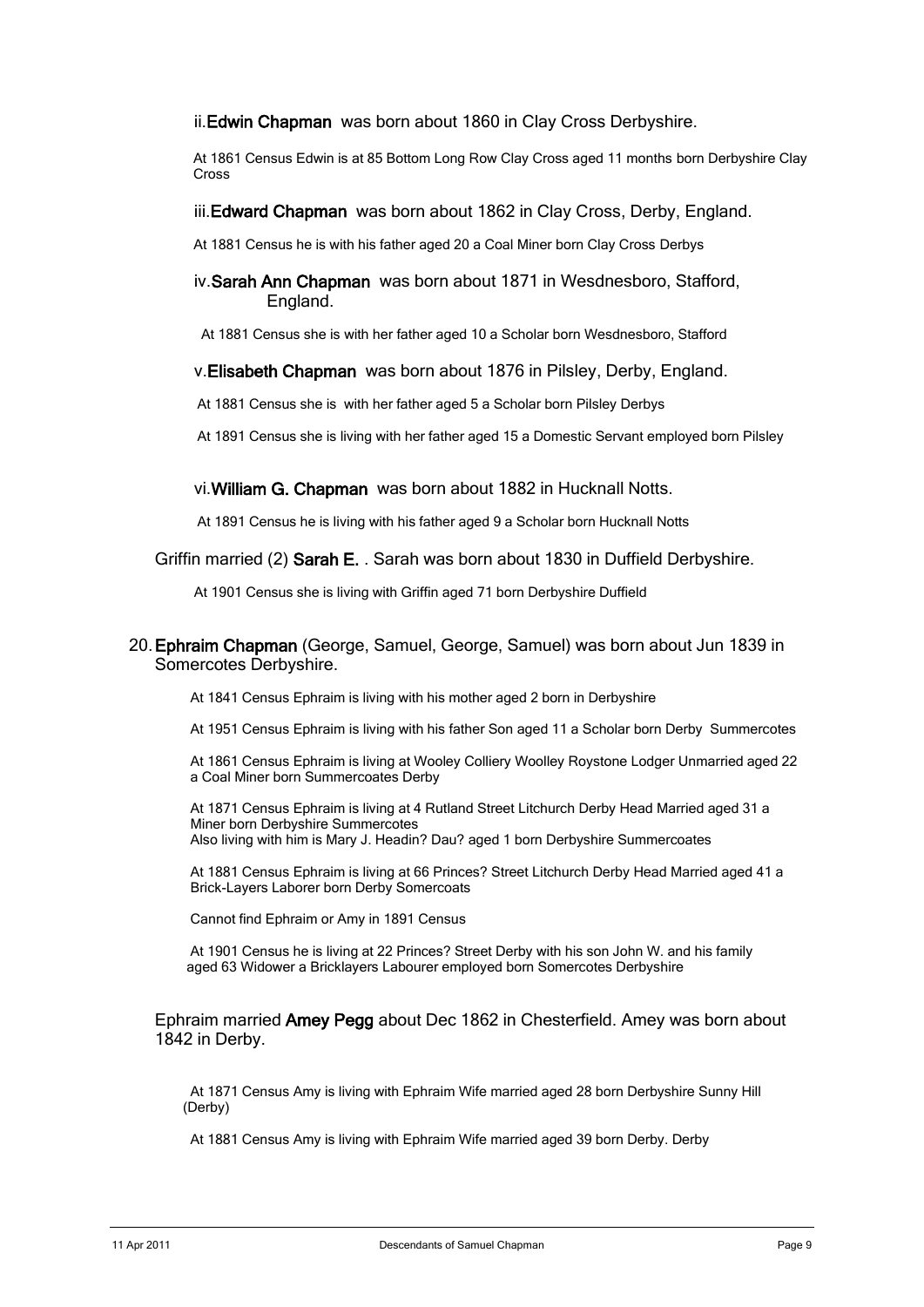ii.Edwin Chapman was born about 1860 in Clay Cross Derbyshire.

At 1861 Census Edwin is at 85 Bottom Long Row Clay Cross aged 11 months born Derbyshire Clay Cross

iii. Edward Chapman was born about 1862 in Clay Cross, Derby, England.

At 1881 Census he is with his father aged 20 a Coal Miner born Clay Cross Derbys

iv.Sarah Ann Chapman was born about 1871 in Wesdnesboro, Stafford, England.

At 1881 Census she is with her father aged 10 a Scholar born Wesdnesboro, Stafford

v.Elisabeth Chapman was born about 1876 in Pilsley, Derby, England.

At 1881 Census she is with her father aged 5 a Scholar born Pilsley Derbys

At 1891 Census she is living with her father aged 15 a Domestic Servant employed born Pilsley

vi.William G. Chapman was born about 1882 in Hucknall Notts.

At 1891 Census he is living with his father aged 9 a Scholar born Hucknall Notts

Griffin married (2) Sarah E. . Sarah was born about 1830 in Duffield Derbyshire.

At 1901 Census she is living with Griffin aged 71 born Derbyshire Duffield

#### 20. Ephraim Chapman (George, Samuel, George, Samuel) was born about Jun 1839 in Somercotes Derbyshire.

At 1841 Census Ephraim is living with his mother aged 2 born in Derbyshire

At 1951 Census Ephraim is living with his father Son aged 11 a Scholar born Derby Summercotes

At 1861 Census Ephraim is living at Wooley Colliery Woolley Roystone Lodger Unmarried aged 22 a Coal Miner born Summercoates Derby

 At 1871 Census Ephraim is living at 4 Rutland Street Litchurch Derby Head Married aged 31 a Miner born Derbyshire Summercotes Also living with him is Mary J. Headin? Dau? aged 1 born Derbyshire Summercoates

At 1881 Census Ephraim is living at 66 Princes? Street Litchurch Derby Head Married aged 41 a Brick-Layers Laborer born Derby Somercoats

Cannot find Ephraim or Amy in 1891 Census

 At 1901 Census he is living at 22 Princes? Street Derby with his son John W. and his family aged 63 Widower a Bricklayers Labourer employed born Somercotes Derbyshire

#### Ephraim married Amey Pegg about Dec 1862 in Chesterfield. Amey was born about 1842 in Derby.

 At 1871 Census Amy is living with Ephraim Wife married aged 28 born Derbyshire Sunny Hill (Derby)

At 1881 Census Amy is living with Ephraim Wife married aged 39 born Derby. Derby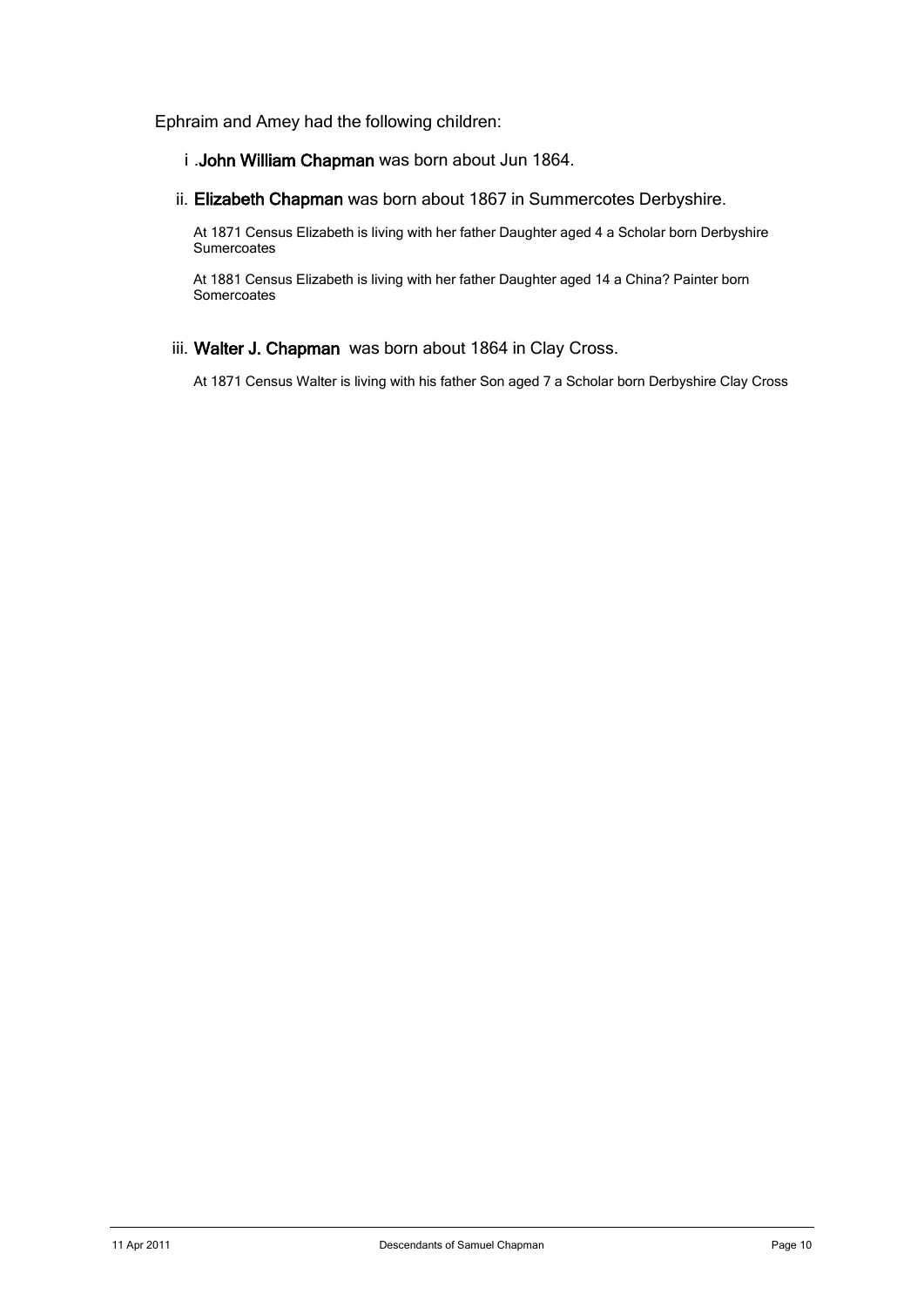Ephraim and Amey had the following children:

- i .John William Chapman was born about Jun 1864.
- ii. Elizabeth Chapman was born about 1867 in Summercotes Derbyshire.

 At 1871 Census Elizabeth is living with her father Daughter aged 4 a Scholar born Derbyshire **Sumercoates** 

At 1881 Census Elizabeth is living with her father Daughter aged 14 a China? Painter born Somercoates

iii. Walter J. Chapman was born about 1864 in Clay Cross.

At 1871 Census Walter is living with his father Son aged 7 a Scholar born Derbyshire Clay Cross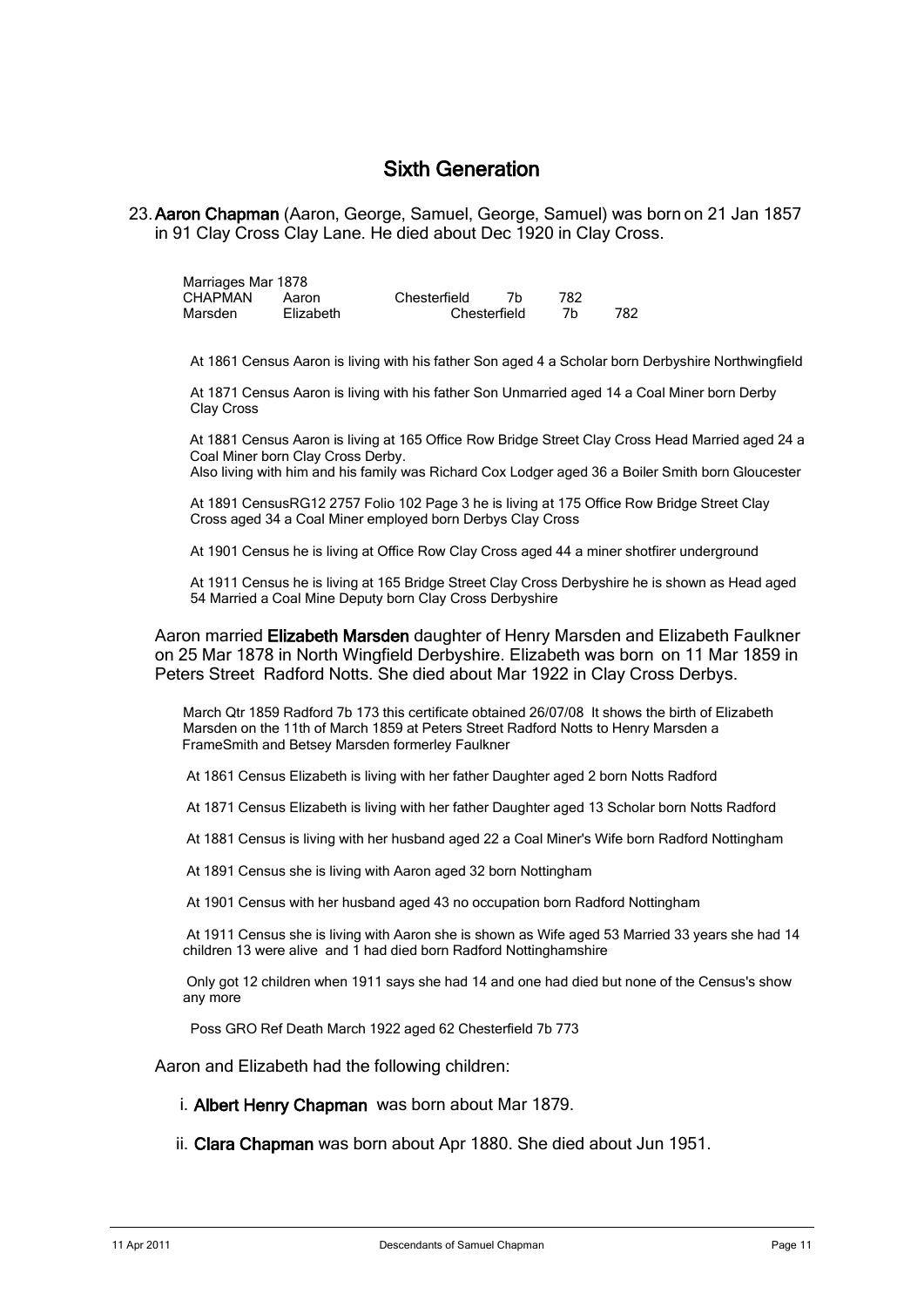## Sixth Generation

23. Aaron Chapman (Aaron, George, Samuel, George, Samuel) was born on 21 Jan 1857 in 91 Clay Cross Clay Lane. He died about Dec 1920 in Clay Cross.

| Marriages Mar 1878 |           |              |              |      |     |  |  |  |
|--------------------|-----------|--------------|--------------|------|-----|--|--|--|
| CHAPMAN            | Aaron     | Chesterfield |              | 782. |     |  |  |  |
| Marsden            | Elizabeth |              | Chesterfield |      | 782 |  |  |  |

At 1861 Census Aaron is living with his father Son aged 4 a Scholar born Derbyshire Northwingfield

 At 1871 Census Aaron is living with his father Son Unmarried aged 14 a Coal Miner born Derby Clay Cross

At 1881 Census Aaron is living at 165 Office Row Bridge Street Clay Cross Head Married aged 24 a Coal Miner born Clay Cross Derby.

Also living with him and his family was Richard Cox Lodger aged 36 a Boiler Smith born Gloucester

At 1891 CensusRG12 2757 Folio 102 Page 3 he is living at 175 Office Row Bridge Street Clay Cross aged 34 a Coal Miner employed born Derbys Clay Cross

At 1901 Census he is living at Office Row Clay Cross aged 44 a miner shotfirer underground

 At 1911 Census he is living at 165 Bridge Street Clay Cross Derbyshire he is shown as Head aged 54 Married a Coal Mine Deputy born Clay Cross Derbyshire

Aaron married Elizabeth Marsden daughter of Henry Marsden and Elizabeth Faulkner on 25 Mar 1878 in North Wingfield Derbyshire. Elizabeth was born on 11 Mar 1859 in Peters Street Radford Notts. She died about Mar 1922 in Clay Cross Derbys.

March Qtr 1859 Radford 7b 173 this certificate obtained 26/07/08 It shows the birth of Elizabeth Marsden on the 11th of March 1859 at Peters Street Radford Notts to Henry Marsden a FrameSmith and Betsey Marsden formerley Faulkner

At 1861 Census Elizabeth is living with her father Daughter aged 2 born Notts Radford

At 1871 Census Elizabeth is living with her father Daughter aged 13 Scholar born Notts Radford

At 1881 Census is living with her husband aged 22 a Coal Miner's Wife born Radford Nottingham

At 1891 Census she is living with Aaron aged 32 born Nottingham

At 1901 Census with her husband aged 43 no occupation born Radford Nottingham

At 1911 Census she is living with Aaron she is shown as Wife aged 53 Married 33 years she had 14 children 13 were alive and 1 had died born Radford Nottinghamshire

Only got 12 children when 1911 says she had 14 and one had died but none of the Census's show any more

Poss GRO Ref Death March 1922 aged 62 Chesterfield 7b 773

Aaron and Elizabeth had the following children:

i. Albert Henry Chapman was born about Mar 1879.

ii. Clara Chapman was born about Apr 1880. She died about Jun 1951.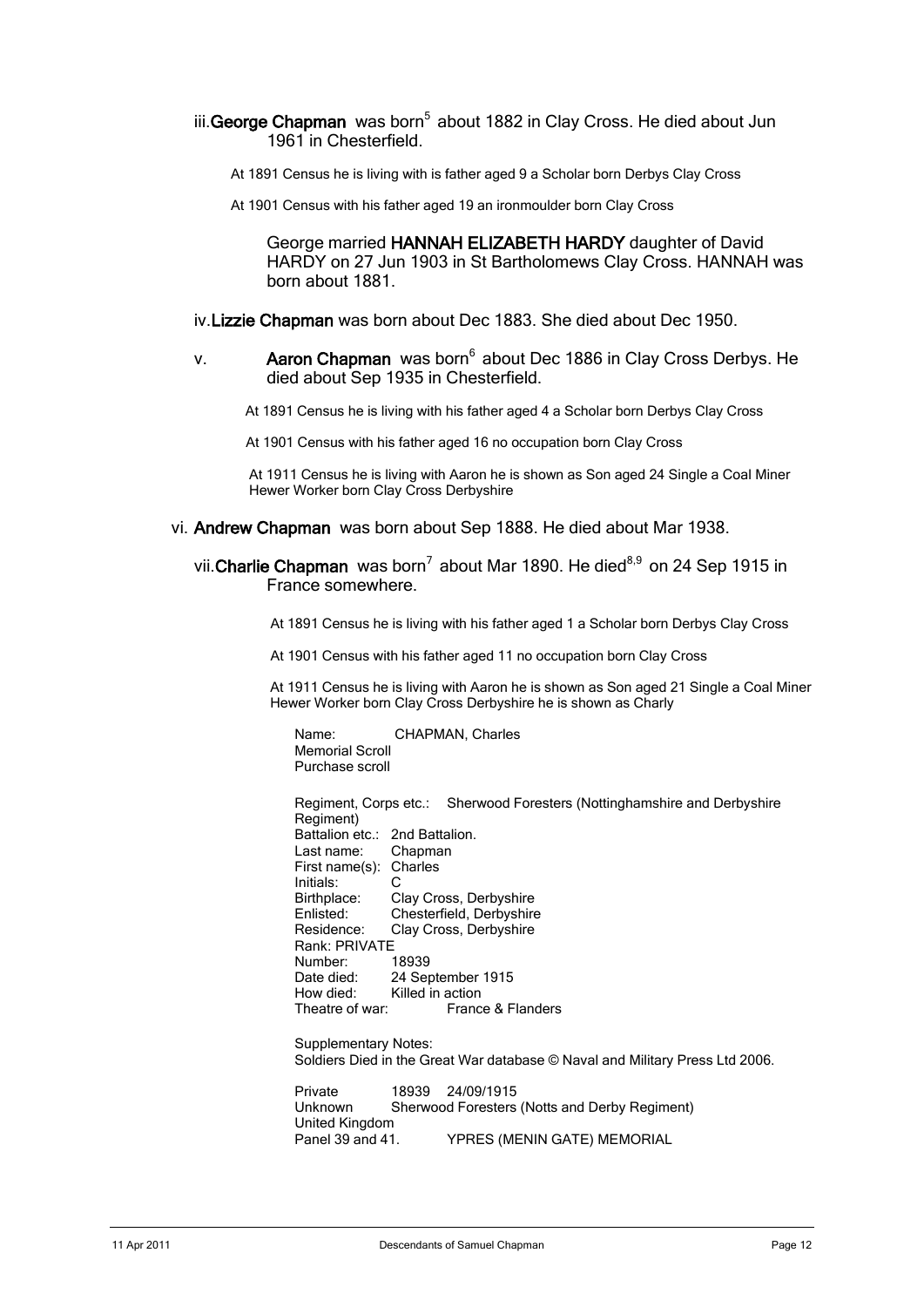### iii. George Chapman was born<sup>5</sup> about 1882 in Clay Cross. He died about Jun 1961 in Chesterfield.

- At 1891 Census he is living with is father aged 9 a Scholar born Derbys Clay Cross
- At 1901 Census with his father aged 19 an ironmoulder born Clay Cross

George married HANNAH ELIZABETH HARDY daughter of David HARDY on 27 Jun 1903 in St Bartholomews Clay Cross. HANNAH was born about 1881.

- iv.Lizzie Chapman was born about Dec 1883. She died about Dec 1950.
- v. **Aaron Chapman** was born<sup>6</sup> about Dec 1886 in Clay Cross Derbys. He died about Sep 1935 in Chesterfield.

At 1891 Census he is living with his father aged 4 a Scholar born Derbys Clay Cross

At 1901 Census with his father aged 16 no occupation born Clay Cross

At 1911 Census he is living with Aaron he is shown as Son aged 24 Single a Coal Miner Hewer Worker born Clay Cross Derbyshire

- vi. Andrew Chapman was born about Sep 1888. He died about Mar 1938.
	- vii. Charlie Chapman was born<sup>7</sup> about Mar 1890. He died<sup>8,9</sup> on 24 Sep 1915 in France somewhere.

At 1891 Census he is living with his father aged 1 a Scholar born Derbys Clay Cross

At 1901 Census with his father aged 11 no occupation born Clay Cross

At 1911 Census he is living with Aaron he is shown as Son aged 21 Single a Coal Miner Hewer Worker born Clay Cross Derbyshire he is shown as Charly

Name: CHAPMAN, Charles Memorial Scroll Purchase scroll

Regiment, Corps etc.: Sherwood Foresters (Nottinghamshire and Derbyshire Regiment) Battalion etc.: 2nd Battalion.<br>Last name: Chapman Last name: First name(s): Charles Initials: C Birthplace: Clay Cross, Derbyshire Enlisted: Chesterfield, Derbyshire Residence: Clay Cross, Derbyshire Rank: PRIVATE<br>Number: 18939 Number:<br>Date died: Date died: 24 September 1915<br>How died: Killed in action How died: Killed in action<br>Theatre of war: Franc France & Flanders

Supplementary Notes: Soldiers Died in the Great War database © Naval and Military Press Ltd 2006.

Private 18939 24/09/1915 Unknown Sherwood Foresters (Notts and Derby Regiment) United Kingdom YPRES (MENIN GATE) MEMORIAL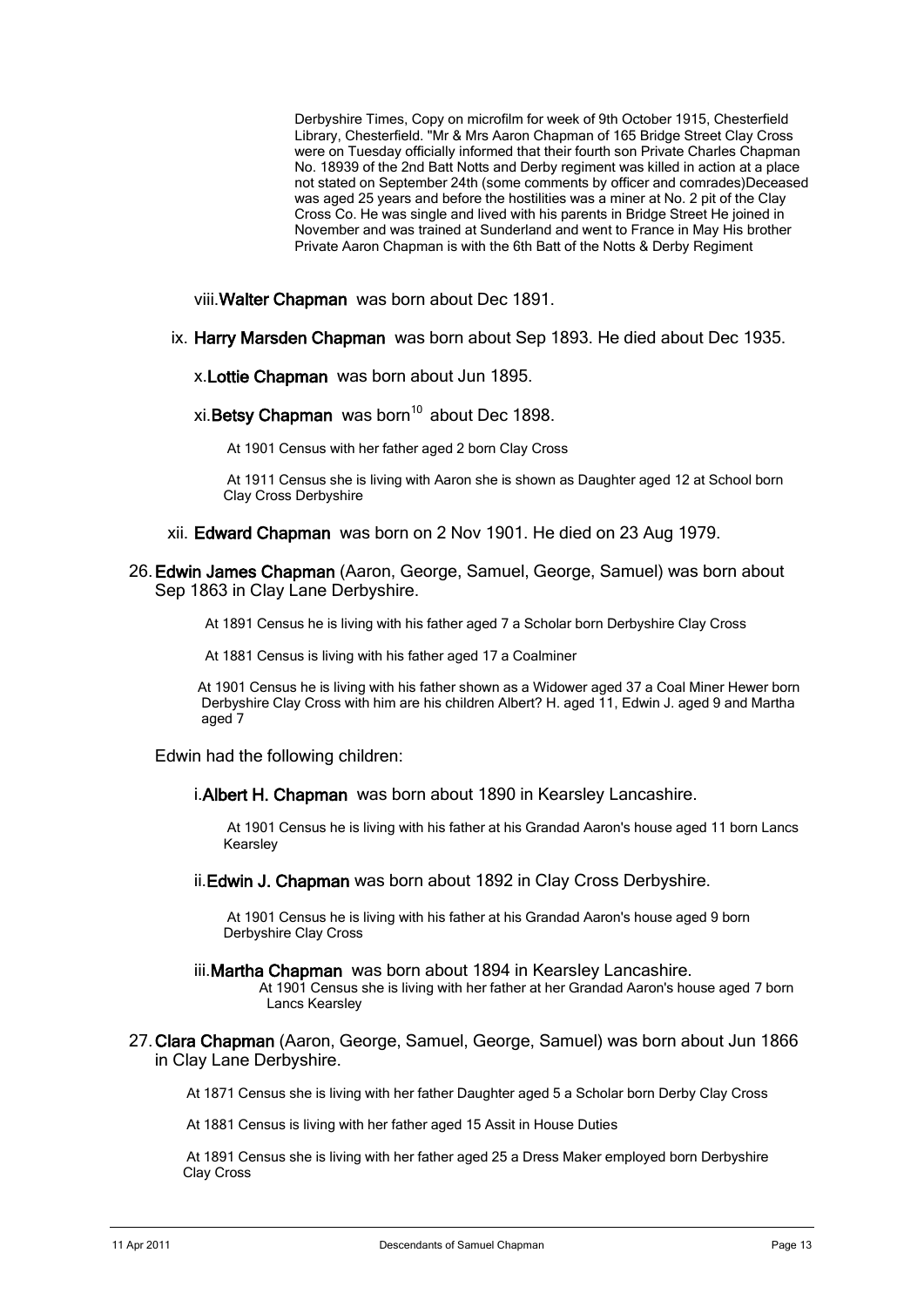Derbyshire Times, Copy on microfilm for week of 9th October 1915, Chesterfield Library, Chesterfield. "Mr & Mrs Aaron Chapman of 165 Bridge Street Clay Cross were on Tuesday officially informed that their fourth son Private Charles Chapman No. 18939 of the 2nd Batt Notts and Derby regiment was killed in action at a place not stated on September 24th (some comments by officer and comrades)Deceased was aged 25 years and before the hostilities was a miner at No. 2 pit of the Clay Cross Co. He was single and lived with his parents in Bridge Street He joined in November and was trained at Sunderland and went to France in May His brother Private Aaron Chapman is with the 6th Batt of the Notts & Derby Regiment

viii.Walter Chapman was born about Dec 1891.

ix. Harry Marsden Chapman was born about Sep 1893. He died about Dec 1935.

x.Lottie Chapman was born about Jun 1895.

 $xi$ . Betsy Chapman was born<sup>10</sup> about Dec 1898.

At 1901 Census with her father aged 2 born Clay Cross

At 1911 Census she is living with Aaron she is shown as Daughter aged 12 at School born Clay Cross Derbyshire

- xii. Edward Chapman was born on 2 Nov 1901. He died on 23 Aug 1979.
- 26. Edwin James Chapman (Aaron, George, Samuel, George, Samuel) was born about Sep 1863 in Clay Lane Derbyshire.

At 1891 Census he is living with his father aged 7 a Scholar born Derbyshire Clay Cross

At 1881 Census is living with his father aged 17 a Coalminer

 At 1901 Census he is living with his father shown as a Widower aged 37 a Coal Miner Hewer born Derbyshire Clay Cross with him are his children Albert? H. aged 11, Edwin J. aged 9 and Martha aged 7

Edwin had the following children:

i. Albert H. Chapman was born about 1890 in Kearsley Lancashire.

At 1901 Census he is living with his father at his Grandad Aaron's house aged 11 born Lancs Kearsley

ii. Edwin J. Chapman was born about 1892 in Clay Cross Derbyshire.

At 1901 Census he is living with his father at his Grandad Aaron's house aged 9 born Derbyshire Clay Cross

- iii. Martha Chapman was born about 1894 in Kearsley Lancashire. At 1901 Census she is living with her father at her Grandad Aaron's house aged 7 born Lancs Kearsley
- 27. Clara Chapman (Aaron, George, Samuel, George, Samuel) was born about Jun 1866 in Clay Lane Derbyshire.

At 1871 Census she is living with her father Daughter aged 5 a Scholar born Derby Clay Cross

At 1881 Census is living with her father aged 15 Assit in House Duties

At 1891 Census she is living with her father aged 25 a Dress Maker employed born Derbyshire Clay Cross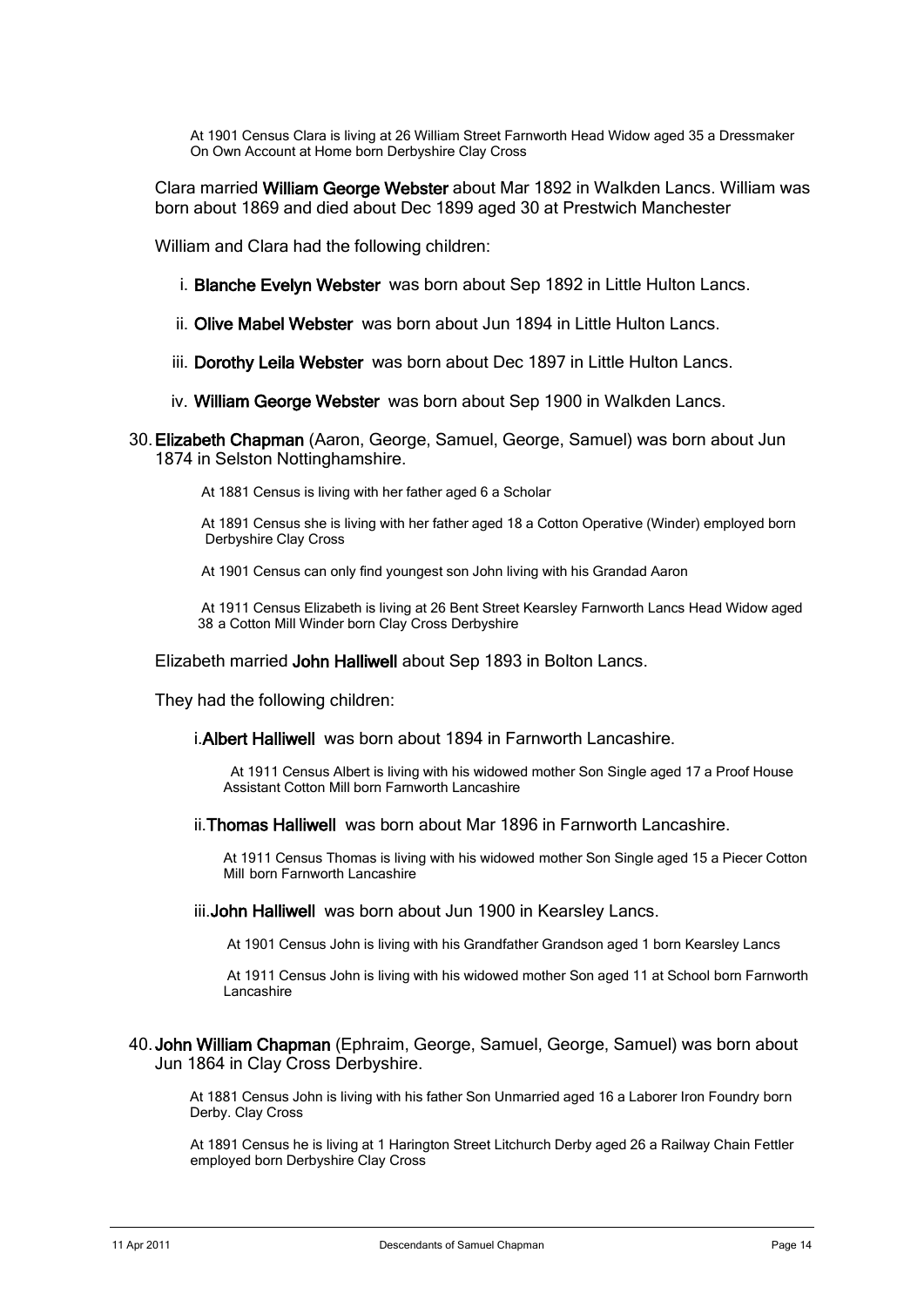At 1901 Census Clara is living at 26 William Street Farnworth Head Widow aged 35 a Dressmaker On Own Account at Home born Derbyshire Clay Cross

Clara married William George Webster about Mar 1892 in Walkden Lancs. William was born about 1869 and died about Dec 1899 aged 30 at Prestwich Manchester

William and Clara had the following children:

- i. Blanche Evelyn Webster was born about Sep 1892 in Little Hulton Lancs.
- ii. Olive Mabel Webster was born about Jun 1894 in Little Hulton Lancs.
- iii. Dorothy Leila Webster was born about Dec 1897 in Little Hulton Lancs.
- iv. William George Webster was born about Sep 1900 in Walkden Lancs.
- 30. Elizabeth Chapman (Aaron, George, Samuel, George, Samuel) was born about Jun 1874 in Selston Nottinghamshire.
	- At 1881 Census is living with her father aged 6 a Scholar

 At 1891 Census she is living with her father aged 18 a Cotton Operative (Winder) employed born Derbyshire Clay Cross

At 1901 Census can only find youngest son John living with his Grandad Aaron

 At 1911 Census Elizabeth is living at 26 Bent Street Kearsley Farnworth Lancs Head Widow aged 38 a Cotton Mill Winder born Clay Cross Derbyshire

Elizabeth married John Halliwell about Sep 1893 in Bolton Lancs.

They had the following children:

i.Albert Halliwell was born about 1894 in Farnworth Lancashire.

At 1911 Census Albert is living with his widowed mother Son Single aged 17 a Proof House Assistant Cotton Mill born Farnworth Lancashire

ii.Thomas Halliwell was born about Mar 1896 in Farnworth Lancashire.

At 1911 Census Thomas is living with his widowed mother Son Single aged 15 a Piecer Cotton Mill born Farnworth Lancashire

iii.John Halliwell was born about Jun 1900 in Kearsley Lancs.

At 1901 Census John is living with his Grandfather Grandson aged 1 born Kearsley Lancs

At 1911 Census John is living with his widowed mother Son aged 11 at School born Farnworth Lancashire

40. John William Chapman (Ephraim, George, Samuel, George, Samuel) was born about Jun 1864 in Clay Cross Derbyshire.

At 1881 Census John is living with his father Son Unmarried aged 16 a Laborer Iron Foundry born Derby. Clay Cross

At 1891 Census he is living at 1 Harington Street Litchurch Derby aged 26 a Railway Chain Fettler employed born Derbyshire Clay Cross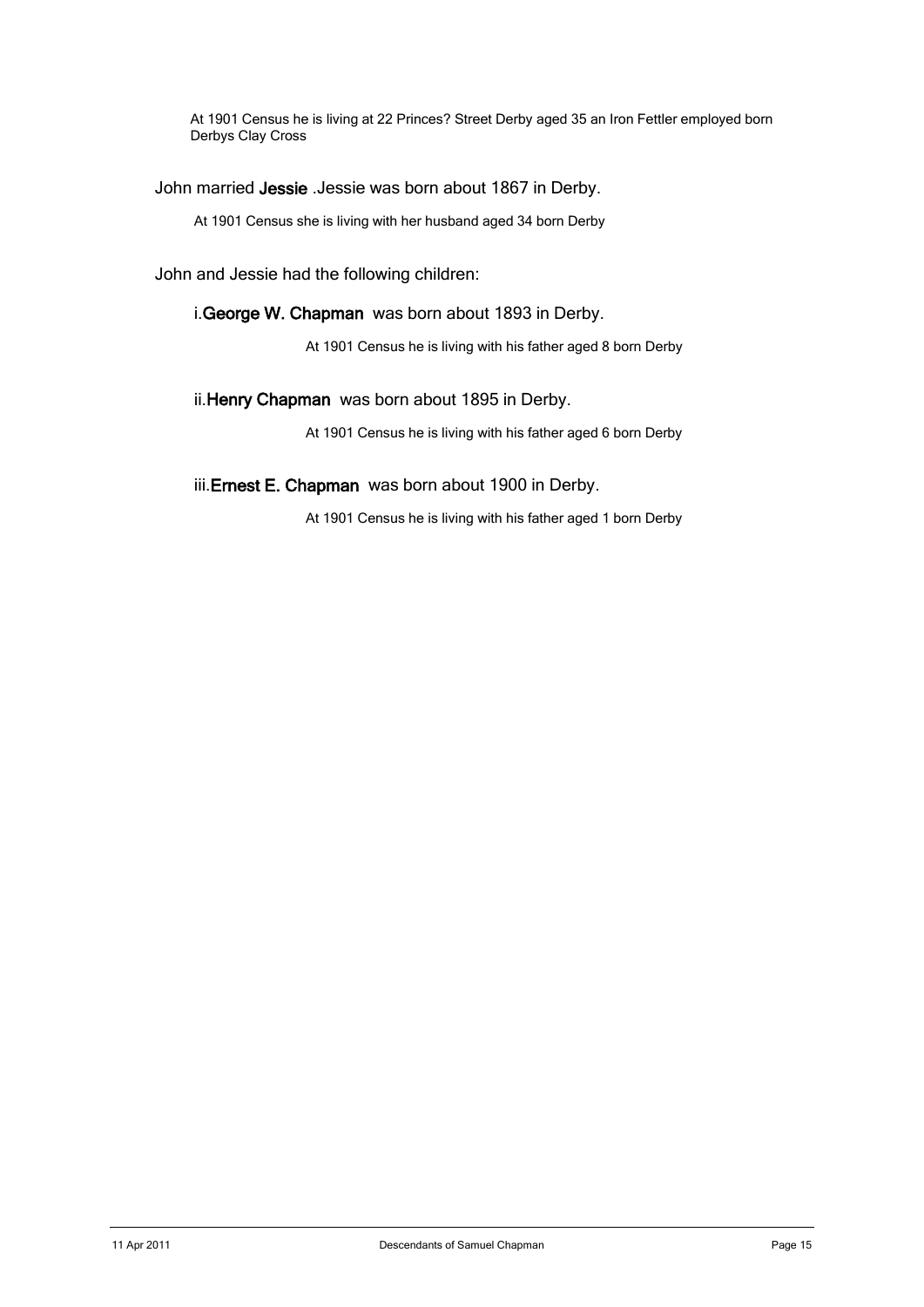At 1901 Census he is living at 22 Princes? Street Derby aged 35 an Iron Fettler employed born Derbys Clay Cross

John married Jessie .Jessie was born about 1867 in Derby.

At 1901 Census she is living with her husband aged 34 born Derby

John and Jessie had the following children:

### i.George W. Chapman was born about 1893 in Derby.

At 1901 Census he is living with his father aged 8 born Derby

### ii. Henry Chapman was born about 1895 in Derby.

At 1901 Census he is living with his father aged 6 born Derby

### iii. Ernest E. Chapman was born about 1900 in Derby.

At 1901 Census he is living with his father aged 1 born Derby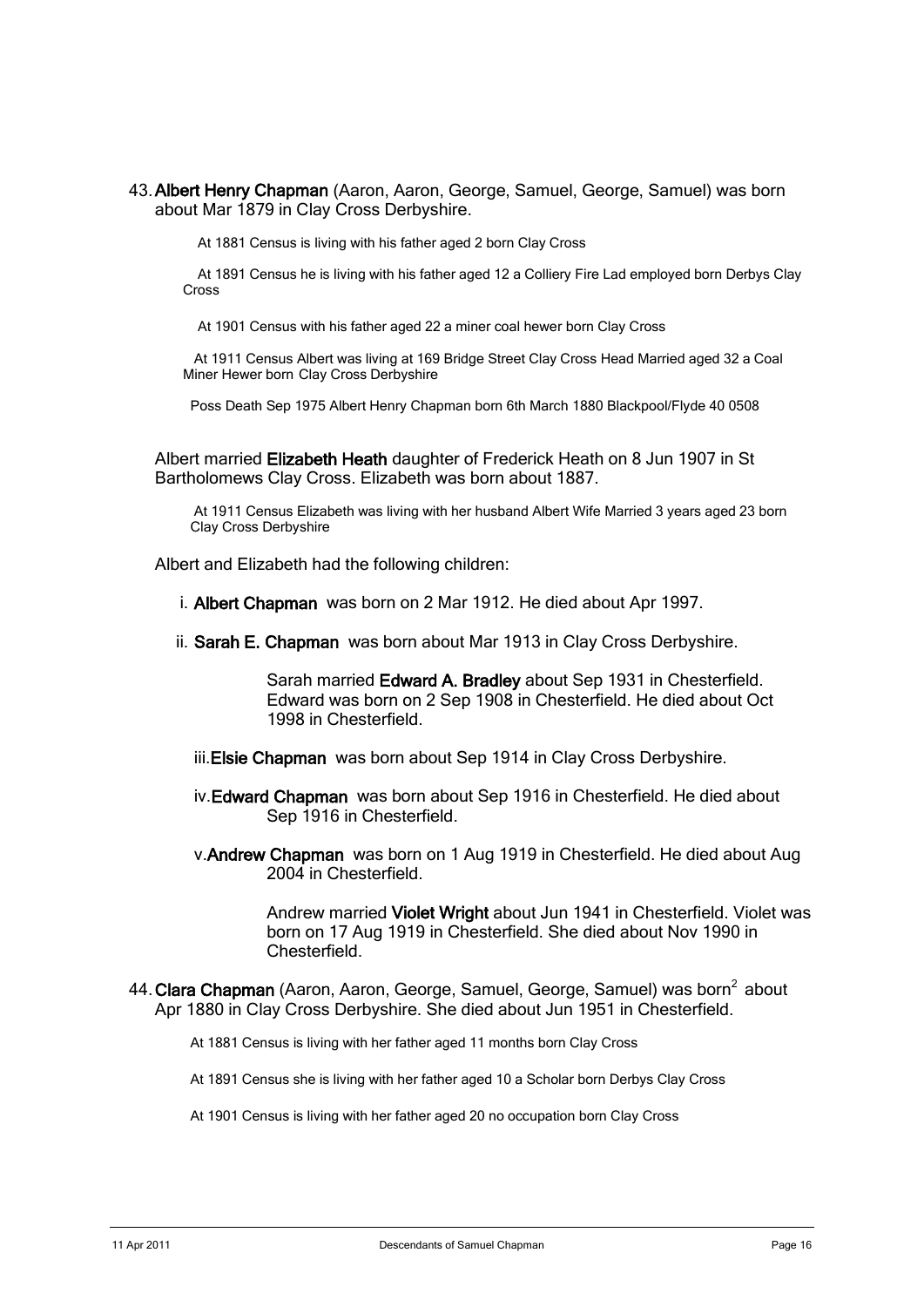43. Albert Henry Chapman (Aaron, Aaron, George, Samuel, George, Samuel) was born about Mar 1879 in Clay Cross Derbyshire.

At 1881 Census is living with his father aged 2 born Clay Cross

 At 1891 Census he is living with his father aged 12 a Colliery Fire Lad employed born Derbys Clay Cross

At 1901 Census with his father aged 22 a miner coal hewer born Clay Cross

 At 1911 Census Albert was living at 169 Bridge Street Clay Cross Head Married aged 32 a Coal Miner Hewer born Clay Cross Derbyshire

Poss Death Sep 1975 Albert Henry Chapman born 6th March 1880 Blackpool/Flyde 40 0508

Albert married Elizabeth Heath daughter of Frederick Heath on 8 Jun 1907 in St Bartholomews Clay Cross. Elizabeth was born about 1887.

 At 1911 Census Elizabeth was living with her husband Albert Wife Married 3 years aged 23 born Clay Cross Derbyshire

Albert and Elizabeth had the following children:

- i. Albert Chapman was born on 2 Mar 1912. He died about Apr 1997.
- ii. Sarah E. Chapman was born about Mar 1913 in Clay Cross Derbyshire.

Sarah married Edward A. Bradley about Sep 1931 in Chesterfield. Edward was born on 2 Sep 1908 in Chesterfield. He died about Oct 1998 in Chesterfield.

- iii. Elsie Chapman was born about Sep 1914 in Clay Cross Derbyshire.
- iv.Edward Chapman was born about Sep 1916 in Chesterfield. He died about Sep 1916 in Chesterfield.
- v.Andrew Chapman was born on 1 Aug 1919 in Chesterfield. He died about Aug 2004 in Chesterfield.

Andrew married Violet Wright about Jun 1941 in Chesterfield. Violet was born on 17 Aug 1919 in Chesterfield. She died about Nov 1990 in **Chesterfield** 

44. Clara Chapman (Aaron, Aaron, George, Samuel, George, Samuel) was born<sup>2</sup> about Apr 1880 in Clay Cross Derbyshire. She died about Jun 1951 in Chesterfield.

At 1881 Census is living with her father aged 11 months born Clay Cross

At 1891 Census she is living with her father aged 10 a Scholar born Derbys Clay Cross

At 1901 Census is living with her father aged 20 no occupation born Clay Cross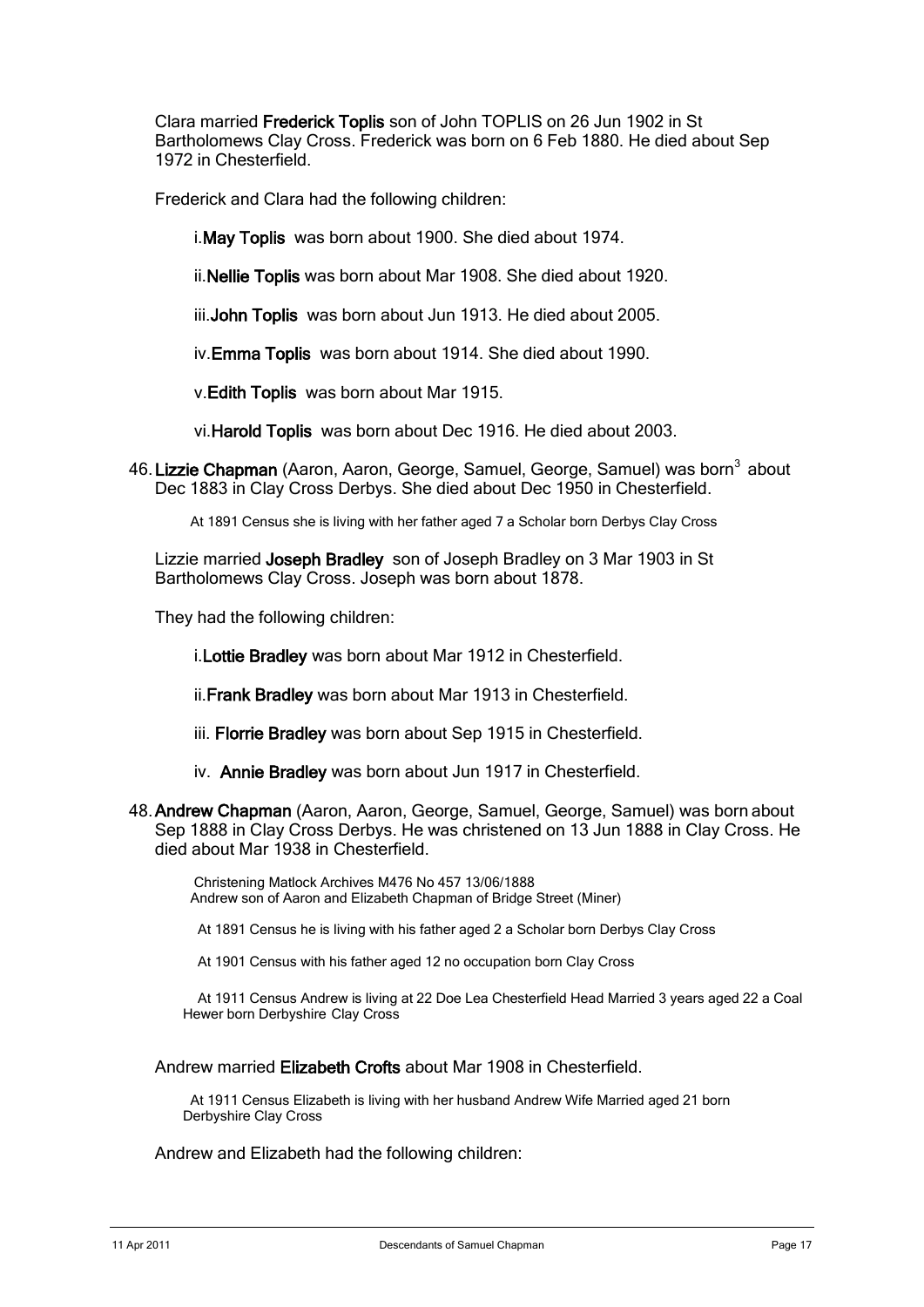Clara married Frederick Toplis son of John TOPLIS on 26 Jun 1902 in St Bartholomews Clay Cross. Frederick was born on 6 Feb 1880. He died about Sep 1972 in Chesterfield.

Frederick and Clara had the following children:

i.May Toplis was born about 1900. She died about 1974.

ii.Nellie Toplis was born about Mar 1908. She died about 1920.

iii. **John Toplis** was born about Jun 1913. He died about 2005.

iv.Emma Toplis was born about 1914. She died about 1990.

v.Edith Toplis was born about Mar 1915.

vi.Harold Toplis was born about Dec 1916. He died about 2003.

46. Lizzie Chapman (Aaron, Aaron, George, Samuel, George, Samuel) was born<sup>3</sup> about Dec 1883 in Clay Cross Derbys. She died about Dec 1950 in Chesterfield.

At 1891 Census she is living with her father aged 7 a Scholar born Derbys Clay Cross

Lizzie married Joseph Bradley son of Joseph Bradley on 3 Mar 1903 in St Bartholomews Clay Cross. Joseph was born about 1878.

They had the following children:

i.Lottie Bradley was born about Mar 1912 in Chesterfield.

ii. Frank Bradley was born about Mar 1913 in Chesterfield.

- iii. Florrie Bradley was born about Sep 1915 in Chesterfield.
- iv. Annie Bradley was born about Jun 1917 in Chesterfield.
- 48. Andrew Chapman (Aaron, Aaron, George, Samuel, George, Samuel) was born about Sep 1888 in Clay Cross Derbys. He was christened on 13 Jun 1888 in Clay Cross. He died about Mar 1938 in Chesterfield.

 Christening Matlock Archives M476 No 457 13/06/1888 Andrew son of Aaron and Elizabeth Chapman of Bridge Street (Miner)

At 1891 Census he is living with his father aged 2 a Scholar born Derbys Clay Cross

At 1901 Census with his father aged 12 no occupation born Clay Cross

 At 1911 Census Andrew is living at 22 Doe Lea Chesterfield Head Married 3 years aged 22 a Coal Hewer born Derbyshire Clay Cross

#### Andrew married Elizabeth Crofts about Mar 1908 in Chesterfield.

 At 1911 Census Elizabeth is living with her husband Andrew Wife Married aged 21 born Derbyshire Clay Cross

Andrew and Elizabeth had the following children: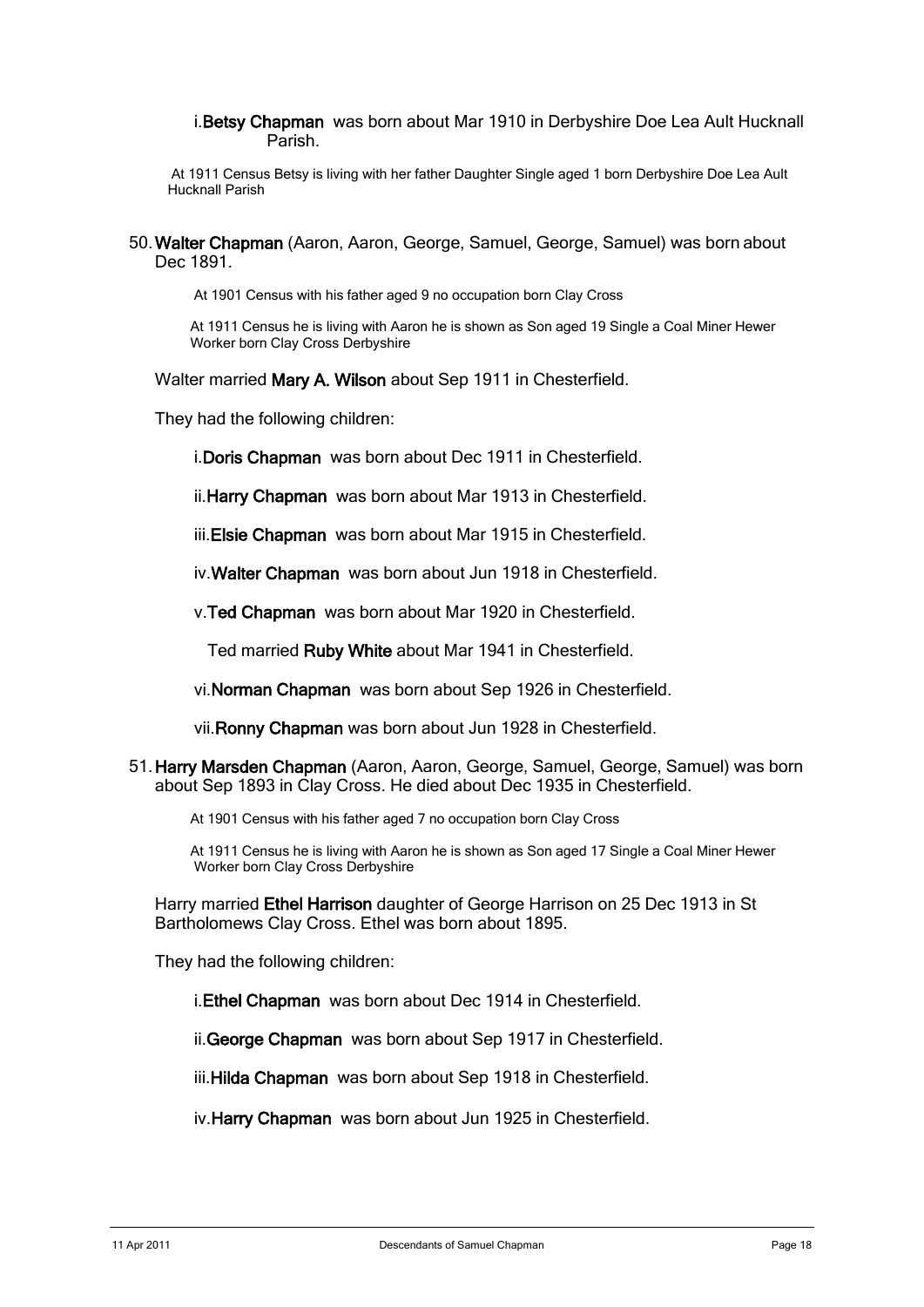### i.Betsy Chapman was born about Mar 1910 in Derbyshire Doe Lea Ault Hucknall Parish.

At 1911 Census Betsy is living with her father Daughter Single aged 1 born Derbyshire Doe Lea Ault Hucknall Parish

50. Walter Chapman (Aaron, Aaron, George, Samuel, George, Samuel) was born about Dec 1891.

At 1901 Census with his father aged 9 no occupation born Clay Cross

 At 1911 Census he is living with Aaron he is shown as Son aged 19 Single a Coal Miner Hewer Worker born Clay Cross Derbyshire

Walter married Mary A. Wilson about Sep 1911 in Chesterfield.

They had the following children:

i.Doris Chapman was born about Dec 1911 in Chesterfield.

ii. Harry Chapman was born about Mar 1913 in Chesterfield.

iii. Elsie Chapman was born about Mar 1915 in Chesterfield.

iv.Walter Chapman was born about Jun 1918 in Chesterfield.

v.Ted Chapman was born about Mar 1920 in Chesterfield.

Ted married Ruby White about Mar 1941 in Chesterfield.

vi.Norman Chapman was born about Sep 1926 in Chesterfield.

vii.Ronny Chapman was born about Jun 1928 in Chesterfield.

51. Harry Marsden Chapman (Aaron, Aaron, George, Samuel, George, Samuel) was born about Sep 1893 in Clay Cross. He died about Dec 1935 in Chesterfield.

At 1901 Census with his father aged 7 no occupation born Clay Cross

 At 1911 Census he is living with Aaron he is shown as Son aged 17 Single a Coal Miner Hewer Worker born Clay Cross Derbyshire

Harry married Ethel Harrison daughter of George Harrison on 25 Dec 1913 in St Bartholomews Clay Cross. Ethel was born about 1895.

They had the following children:

i.Ethel Chapman was born about Dec 1914 in Chesterfield.

ii.George Chapman was born about Sep 1917 in Chesterfield.

iii. Hilda Chapman was born about Sep 1918 in Chesterfield.

iv.Harry Chapman was born about Jun 1925 in Chesterfield.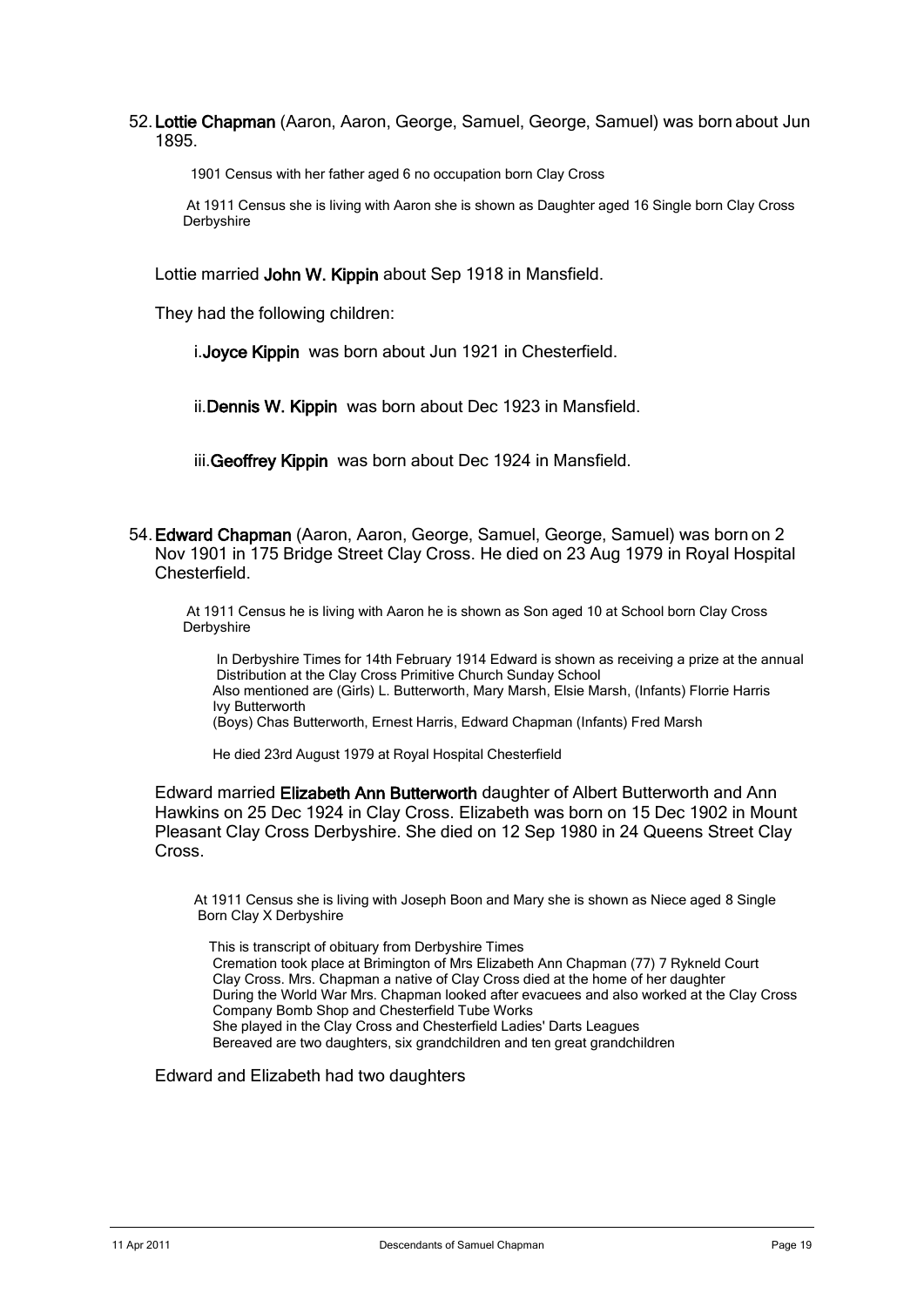52. Lottie Chapman (Aaron, Aaron, George, Samuel, George, Samuel) was born about Jun 1895.

1901 Census with her father aged 6 no occupation born Clay Cross

At 1911 Census she is living with Aaron she is shown as Daughter aged 16 Single born Clay Cross Derbyshire

Lottie married John W. Kippin about Sep 1918 in Mansfield.

They had the following children:

i.Joyce Kippin was born about Jun 1921 in Chesterfield.

ii. Dennis W. Kippin was born about Dec 1923 in Mansfield.

iii. Geoffrey Kippin was born about Dec 1924 in Mansfield.

54. Edward Chapman (Aaron, Aaron, George, Samuel, George, Samuel) was born on 2 Nov 1901 in 175 Bridge Street Clay Cross. He died on 23 Aug 1979 in Royal Hospital Chesterfield.

At 1911 Census he is living with Aaron he is shown as Son aged 10 at School born Clay Cross Derbyshire

 In Derbyshire Times for 14th February 1914 Edward is shown as receiving a prize at the annual Distribution at the Clay Cross Primitive Church Sunday School Also mentioned are (Girls) L. Butterworth, Mary Marsh, Elsie Marsh, (Infants) Florrie Harris Ivy Butterworth

(Boys) Chas Butterworth, Ernest Harris, Edward Chapman (Infants) Fred Marsh

He died 23rd August 1979 at Royal Hospital Chesterfield

Edward married Elizabeth Ann Butterworth daughter of Albert Butterworth and Ann Hawkins on 25 Dec 1924 in Clay Cross. Elizabeth was born on 15 Dec 1902 in Mount Pleasant Clay Cross Derbyshire. She died on 12 Sep 1980 in 24 Queens Street Clay Cross.

 At 1911 Census she is living with Joseph Boon and Mary she is shown as Niece aged 8 Single Born Clay X Derbyshire

 This is transcript of obituary from Derbyshire Times Cremation took place at Brimington of Mrs Elizabeth Ann Chapman (77) 7 Rykneld Court Clay Cross. Mrs. Chapman a native of Clay Cross died at the home of her daughter During the World War Mrs. Chapman looked after evacuees and also worked at the Clay Cross Company Bomb Shop and Chesterfield Tube Works She played in the Clay Cross and Chesterfield Ladies' Darts Leagues Bereaved are two daughters, six grandchildren and ten great grandchildren

Edward and Elizabeth had two daughters